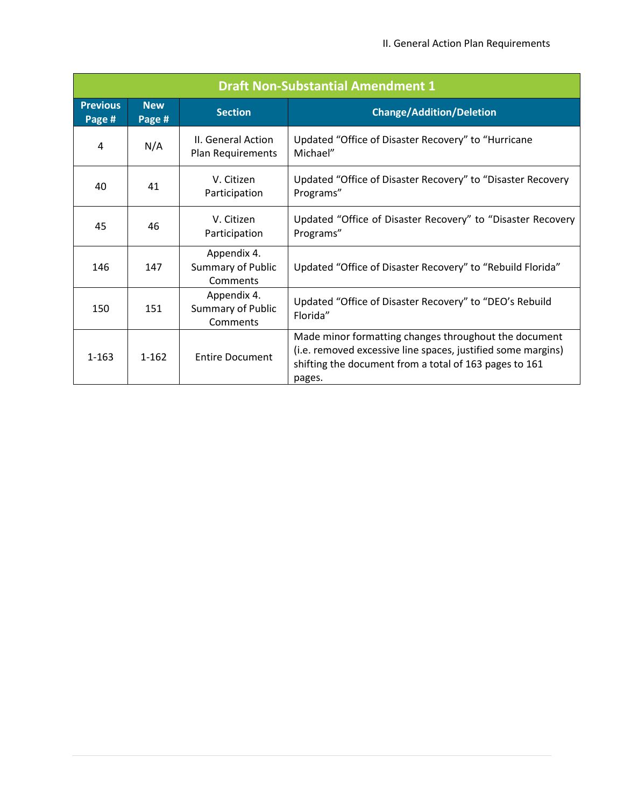| <b>Draft Non-Substantial Amendment 1</b> |                      |                                                     |                                                                                                                                                                                           |
|------------------------------------------|----------------------|-----------------------------------------------------|-------------------------------------------------------------------------------------------------------------------------------------------------------------------------------------------|
| <b>Previous</b><br>Page #                | <b>New</b><br>Page # | <b>Section</b>                                      | <b>Change/Addition/Deletion</b>                                                                                                                                                           |
| 4                                        | N/A                  | II. General Action<br>Plan Requirements             | Updated "Office of Disaster Recovery" to "Hurricane<br>Michael"                                                                                                                           |
| 40                                       | 41                   | V. Citizen<br>Participation                         | Updated "Office of Disaster Recovery" to "Disaster Recovery<br>Programs"                                                                                                                  |
| 45                                       | 46                   | V. Citizen<br>Participation                         | Updated "Office of Disaster Recovery" to "Disaster Recovery<br>Programs"                                                                                                                  |
| 146                                      | 147                  | Appendix 4.<br><b>Summary of Public</b><br>Comments | Updated "Office of Disaster Recovery" to "Rebuild Florida"                                                                                                                                |
| 150                                      | 151                  | Appendix 4.<br>Summary of Public<br>Comments        | Updated "Office of Disaster Recovery" to "DEO's Rebuild<br>Florida"                                                                                                                       |
| $1 - 163$                                | $1 - 162$            | <b>Entire Document</b>                              | Made minor formatting changes throughout the document<br>(i.e. removed excessive line spaces, justified some margins)<br>shifting the document from a total of 163 pages to 161<br>pages. |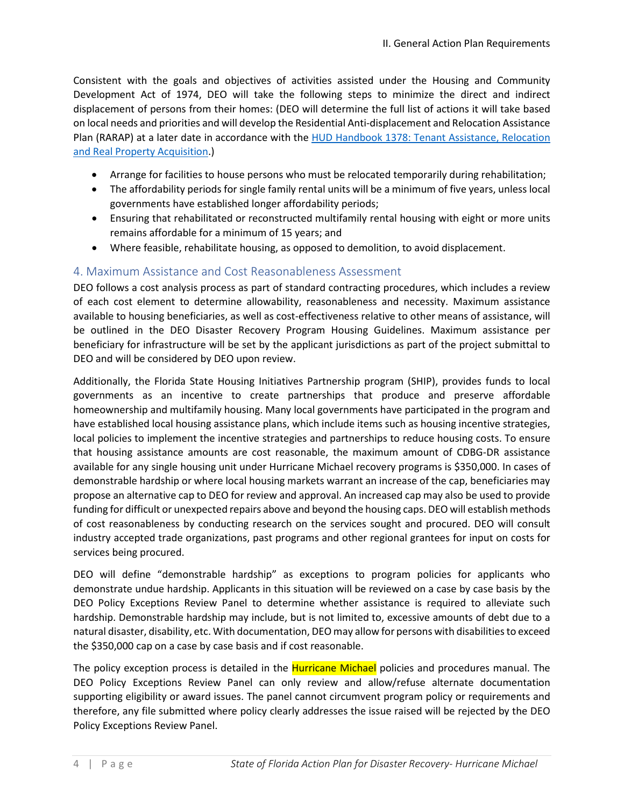Consistent with the goals and objectives of activities assisted under the Housing and Community Development Act of 1974, DEO will take the following steps to minimize the direct and indirect displacement of persons from their homes: (DEO will determine the full list of actions it will take based on local needs and priorities and will develop the Residential Anti-displacement and Relocation Assistance Plan (RARAP) at a later date in accordance with the [HUD Handbook 1378: Tenant Assistance, Relocation](https://www.hud.gov/sites/documents/1378X34CPDH.PDF)  [and Real Property Acquisition.](https://www.hud.gov/sites/documents/1378X34CPDH.PDF))

- Arrange for facilities to house persons who must be relocated temporarily during rehabilitation;
- The affordability periods for single family rental units will be a minimum of five years, unless local governments have established longer affordability periods;
- Ensuring that rehabilitated or reconstructed multifamily rental housing with eight or more units remains affordable for a minimum of 15 years; and
- Where feasible, rehabilitate housing, as opposed to demolition, to avoid displacement.

## 4. Maximum Assistance and Cost Reasonableness Assessment

DEO follows a cost analysis process as part of standard contracting procedures, which includes a review of each cost element to determine allowability, reasonableness and necessity. Maximum assistance available to housing beneficiaries, as well as cost-effectiveness relative to other means of assistance, will be outlined in the DEO Disaster Recovery Program Housing Guidelines. Maximum assistance per beneficiary for infrastructure will be set by the applicant jurisdictions as part of the project submittal to DEO and will be considered by DEO upon review.

Additionally, the Florida State Housing Initiatives Partnership program (SHIP), provides funds to local governments as an incentive to create partnerships that produce and preserve affordable homeownership and multifamily housing. Many local governments have participated in the program and have established local housing assistance plans, which include items such as housing incentive strategies, local policies to implement the incentive strategies and partnerships to reduce housing costs. To ensure that housing assistance amounts are cost reasonable, the maximum amount of CDBG-DR assistance available for any single housing unit under Hurricane Michael recovery programs is \$350,000. In cases of demonstrable hardship or where local housing markets warrant an increase of the cap, beneficiaries may propose an alternative cap to DEO for review and approval. An increased cap may also be used to provide funding for difficult or unexpected repairs above and beyond the housing caps. DEO will establish methods of cost reasonableness by conducting research on the services sought and procured. DEO will consult industry accepted trade organizations, past programs and other regional grantees for input on costs for services being procured.

DEO will define "demonstrable hardship" as exceptions to program policies for applicants who demonstrate undue hardship. Applicants in this situation will be reviewed on a case by case basis by the DEO Policy Exceptions Review Panel to determine whether assistance is required to alleviate such hardship. Demonstrable hardship may include, but is not limited to, excessive amounts of debt due to a natural disaster, disability, etc. With documentation, DEO may allow for persons with disabilities to exceed the \$350,000 cap on a case by case basis and if cost reasonable.

The policy exception process is detailed in the **Hurricane Michael** policies and procedures manual. The DEO Policy Exceptions Review Panel can only review and allow/refuse alternate documentation supporting eligibility or award issues. The panel cannot circumvent program policy or requirements and therefore, any file submitted where policy clearly addresses the issue raised will be rejected by the DEO Policy Exceptions Review Panel.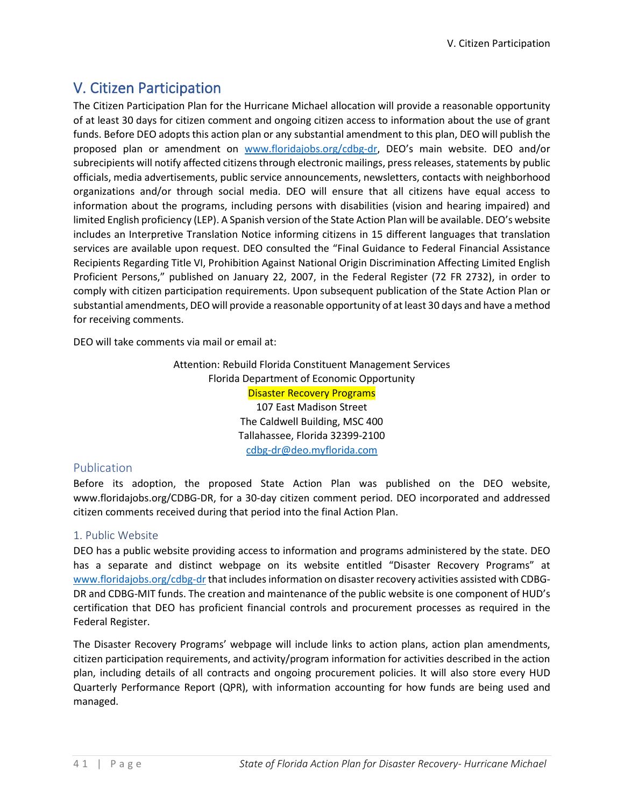# V. Citizen Participation

The Citizen Participation Plan for the Hurricane Michael allocation will provide a reasonable opportunity of at least 30 days for citizen comment and ongoing citizen access to information about the use of grant funds. Before DEO adopts this action plan or any substantial amendment to this plan, DEO will publish the proposed plan or amendment on [www.floridajobs.org/cdbg-dr,](http://www.floridajobs.org/cdbg-dr) DEO's main website. DEO and/or subrecipients will notify affected citizens through electronic mailings, press releases, statements by public officials, media advertisements, public service announcements, newsletters, contacts with neighborhood organizations and/or through social media. DEO will ensure that all citizens have equal access to information about the programs, including persons with disabilities (vision and hearing impaired) and limited English proficiency (LEP). A Spanish version of the State Action Plan will be available. DEO's website includes an Interpretive Translation Notice informing citizens in 15 different languages that translation services are available upon request. DEO consulted the "Final Guidance to Federal Financial Assistance Recipients Regarding Title VI, Prohibition Against National Origin Discrimination Affecting Limited English Proficient Persons," published on January 22, 2007, in the Federal Register (72 FR 2732), in order to comply with citizen participation requirements. Upon subsequent publication of the State Action Plan or substantial amendments, DEO will provide a reasonable opportunity of at least 30 days and have a method for receiving comments.

DEO will take comments via mail or email at:

Attention: Rebuild Florida Constituent Management Services Florida Department of Economic Opportunity Disaster Recovery Programs 107 East Madison Street The Caldwell Building, MSC 400 Tallahassee, Florida 32399-2100 [cdbg-dr@deo.myflorida.com](mailto:cdbg-dr@deo.myflorida.com)

# Publication

Before its adoption, the proposed State Action Plan was published on the DEO website, www.floridajobs.org[/CDBG-DR, f](http://floridajobs.org/news-center/public-notices)or a 30-day citizen comment period. DEO incorporated and addressed citizen comments received during that period into the final Action Plan.

## 1. Public Website

DEO has a public website providing access to information and programs administered by the state. DEO has a separate and distinct webpage on its website entitled "Disaster Recovery Programs" at [www.floridajobs.org/cdbg-dr](http://www.floridajobs.org/cdbg-dr) that includes information on disaster recovery activities assisted with CDBG-DR and CDBG-MIT funds. The creation and maintenance of the public website is one component of HUD's certification that DEO has proficient financial controls and procurement processes as required in the Federal Register.

The Disaster Recovery Programs' webpage will include links to action plans, action plan amendments, citizen participation requirements, and activity/program information for activities described in the action plan, including details of all contracts and ongoing procurement policies. It will also store every HUD Quarterly Performance Report (QPR), with information accounting for how funds are being used and managed.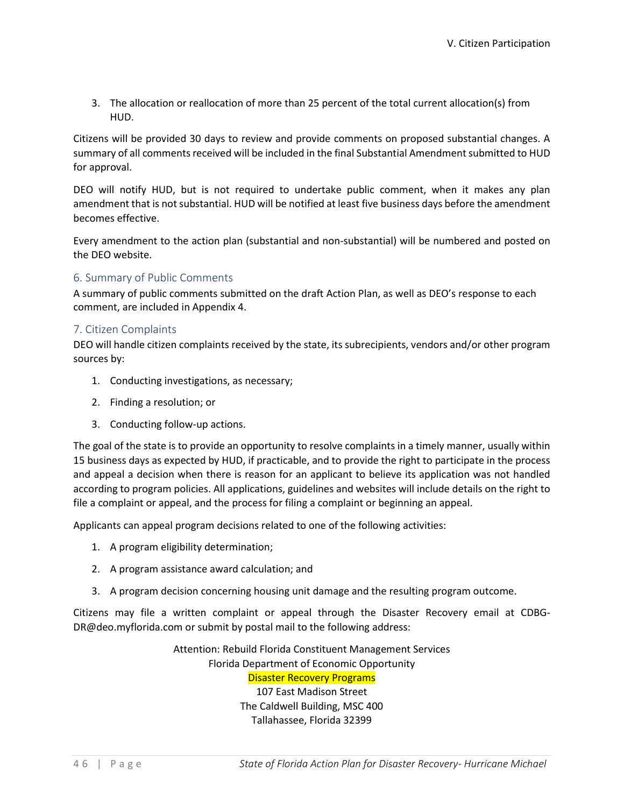3. The allocation or reallocation of more than 25 percent of the total current allocation(s) from HUD.

Citizens will be provided 30 days to review and provide comments on proposed substantial changes. A summary of all comments received will be included in the final Substantial Amendment submitted to HUD for approval.

DEO will notify HUD, but is not required to undertake public comment, when it makes any plan amendment that is not substantial. HUD will be notified at least five business days before the amendment becomes effective.

Every amendment to the action plan (substantial and non-substantial) will be numbered and posted on the DEO website.

## 6. Summary of Public Comments

A summary of public comments submitted on the draft Action Plan, as well as DEO's response to each comment, are included in Appendix 4.

### 7. Citizen Complaints

DEO will handle citizen complaints received by the state, its subrecipients, vendors and/or other program sources by:

- 1. Conducting investigations, as necessary;
- 2. Finding a resolution; or
- 3. Conducting follow-up actions.

The goal of the state is to provide an opportunity to resolve complaints in a timely manner, usually within 15 business days as expected by HUD, if practicable, and to provide the right to participate in the process and appeal a decision when there is reason for an applicant to believe its application was not handled according to program policies. All applications, guidelines and websites will include details on the right to file a complaint or appeal, and the process for filing a complaint or beginning an appeal.

Applicants can appeal program decisions related to one of the following activities:

- 1. A program eligibility determination;
- 2. A program assistance award calculation; and
- 3. A program decision concerning housing unit damage and the resulting program outcome.

Citizens may file a written complaint or appeal through the Disaster Recovery email at [CDBG-](mailto:CDBG-DR@deo.myflorida.com)[DR@deo.myflorida.com o](mailto:CDBG-DR@deo.myflorida.com)r submit by postal mail to the following address:

> Attention: Rebuild Florida Constituent Management Services Florida Department of Economic Opportunity Disaster Recovery Programs 107 East Madison Street

The Caldwell Building, MSC 400 Tallahassee, Florida 32399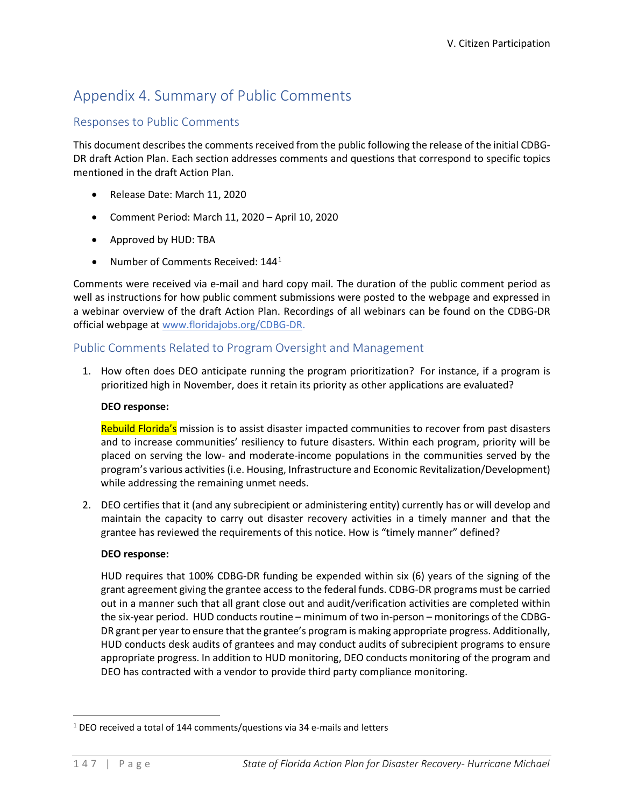# Appendix 4. Summary of Public Comments

## Responses to Public Comments

This document describes the comments received from the public following the release of the initial CDBG-DR draft Action Plan. Each section addresses comments and questions that correspond to specific topics mentioned in the draft Action Plan.

- Release Date: March 11, 2020
- Comment Period: March 11, 2020 April 10, 2020
- Approved by HUD: TBA
- Number of Comments Received:  $144<sup>1</sup>$  $144<sup>1</sup>$

Comments were received via e-mail and hard copy mail. The duration of the public comment period as well as instructions for how public comment submissions were posted to the webpage and expressed in a webinar overview of the draft Action Plan. Recordings of all webinars can be found on the CDBG-DR official webpage at [www.floridajobs.org/CDBG-DR.](http://www.floridajobs.org/CDBG-DR)

# Public Comments Related to Program Oversight and Management

1. How often does DEO anticipate running the program prioritization? For instance, if a program is prioritized high in November, does it retain its priority as other applications are evaluated?

### **DEO response:**

Rebuild Florida's mission is to assist disaster impacted communities to recover from past disasters and to increase communities' resiliency to future disasters. Within each program, priority will be placed on serving the low- and moderate-income populations in the communities served by the program's various activities (i.e. Housing, Infrastructure and Economic Revitalization/Development) while addressing the remaining unmet needs.

2. DEO certifies that it (and any subrecipient or administering entity) currently has or will develop and maintain the capacity to carry out disaster recovery activities in a timely manner and that the grantee has reviewed the requirements of this notice. How is "timely manner" defined?

## **DEO response:**

HUD requires that 100% CDBG-DR funding be expended within six (6) years of the signing of the grant agreement giving the grantee access to the federal funds. CDBG-DR programs must be carried out in a manner such that all grant close out and audit/verification activities are completed within the six-year period. HUD conducts routine – minimum of two in-person – monitorings of the CDBG-DR grant per year to ensure that the grantee's program is making appropriate progress. Additionally, HUD conducts desk audits of grantees and may conduct audits of subrecipient programs to ensure appropriate progress. In addition to HUD monitoring, DEO conducts monitoring of the program and DEO has contracted with a vendor to provide third party compliance monitoring.

<span id="page-4-0"></span><sup>&</sup>lt;sup>1</sup> DEO received a total of 144 comments/questions via 34 e-mails and letters